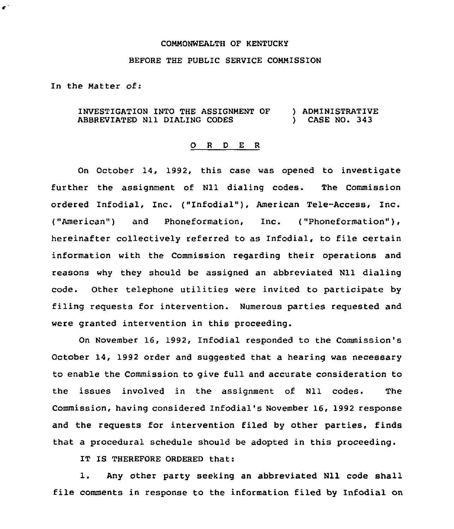## COMMONWEALTH OF KENTUCKY

## BEFORE THE PUBLIC SERVICE COMMISSION

In the Matter of:

 $\pmb{\epsilon}^{\perp}$ 

INVESTIGATION INTO THE ASSIGNMENT OF ABBREVIATED Nll DIALING CODES ) ADMINISTRATIVE ) CASE NO. 343

## 0 <sup>R</sup> <sup>D</sup> <sup>E</sup> <sup>R</sup>

On October 14, 1992, this case was opened to investigate further the assignment of Nll dialing codes. The Commission ordered Infodial, Inc. ("Infodial"), American Tele-Access, Inc. ("American") and Phoneformation, Inc. ("Phoneformation"), hereinafter collectively referred to as Infodial, to file certain information with the Commission regarding their operations and reasons why they should be assigned an abbreviated Nll dialing code. Other telephone utilities were invited to participate by filing requests for intervention. Numerous partiee reguested and were granted intervention in this proceeding.

On November 16, 1992, Infodial responded to the Commission's October 14, 1992 order and suggested that a hearing was necessary to enable the Commission to give full and accurate consideration to the issues involved in the assignment of Nll codes. The Commission, having considered Infodial's November 16, 1992 response and the requests for intervention filed by other parties, finds that a procedural schedule should be adopted in this proceeding.

IT IS THEREFORE ORDERED that:

l. Any other party seeking an abbreviated Nll code shall file comments in response to the information filed by Infodial on